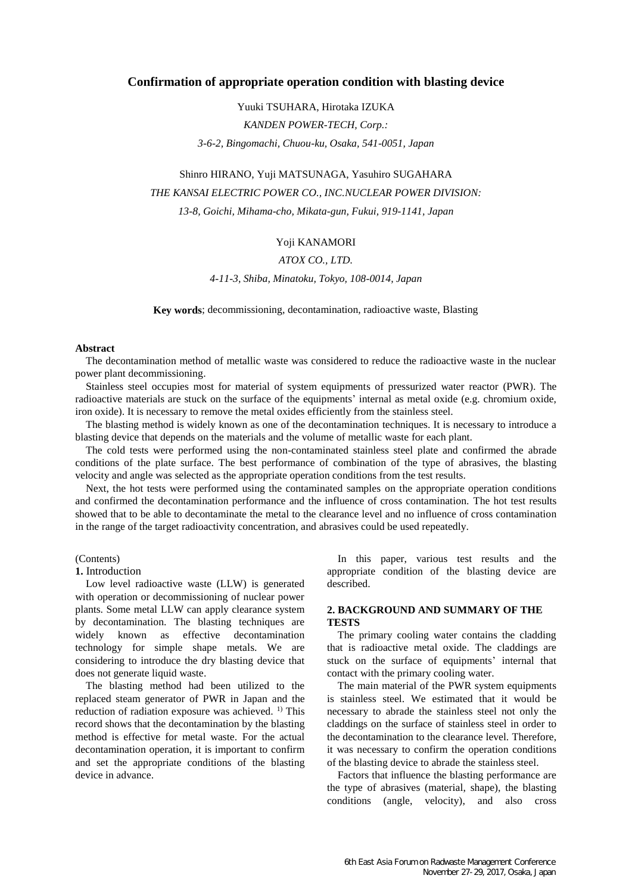# **Confirmation of appropriate operation condition with blasting device**

Yuuki TSUHARA, Hirotaka IZUKA *KANDEN POWER-TECH, Corp.: 3-6-2, Bingomachi, Chuou-ku, Osaka, 541-0051, Japan*

# Shinro HIRANO, Yuji MATSUNAGA, Yasuhiro SUGAHARA *THE KANSAI ELECTRIC POWER CO., INC.NUCLEAR POWER DIVISION: 13-8, Goichi, Mihama-cho, Mikata-gun, Fukui, 919-1141, Japan*

# Yoji KANAMORI

# *ATOX CO., LTD.*

*4-11-3, Shiba, Minatoku, Tokyo, 108-0014, Japan*

**Key words**; decommissioning, decontamination, radioactive waste, Blasting

#### **Abstract**

The decontamination method of metallic waste was considered to reduce the radioactive waste in the nuclear power plant decommissioning.

Stainless steel occupies most for material of system equipments of pressurized water reactor (PWR). The radioactive materials are stuck on the surface of the equipments' internal as metal oxide (e.g. chromium oxide, iron oxide). It is necessary to remove the metal oxides efficiently from the stainless steel.

The blasting method is widely known as one of the decontamination techniques. It is necessary to introduce a blasting device that depends on the materials and the volume of metallic waste for each plant.

The cold tests were performed using the non-contaminated stainless steel plate and confirmed the abrade conditions of the plate surface. The best performance of combination of the type of abrasives, the blasting velocity and angle was selected as the appropriate operation conditions from the test results.

Next, the hot tests were performed using the contaminated samples on the appropriate operation conditions and confirmed the decontamination performance and the influence of cross contamination. The hot test results showed that to be able to decontaminate the metal to the clearance level and no influence of cross contamination in the range of the target radioactivity concentration, and abrasives could be used repeatedly.

#### (Contents)

#### **1.** Introduction

Low level radioactive waste (LLW) is generated with operation or decommissioning of nuclear power plants. Some metal LLW can apply clearance system by decontamination. The blasting techniques are widely known as effective decontamination technology for simple shape metals. We are considering to introduce the dry blasting device that does not generate liquid waste.

The blasting method had been utilized to the replaced steam generator of PWR in Japan and the reduction of radiation exposure was achieved. <sup>1)</sup> This record shows that the decontamination by the blasting method is effective for metal waste. For the actual decontamination operation, it is important to confirm and set the appropriate conditions of the blasting device in advance.

In this paper, various test results and the appropriate condition of the blasting device are described.

# **2. BACKGROUND AND SUMMARY OF THE TESTS**

The primary cooling water contains the cladding that is radioactive metal oxide. The claddings are stuck on the surface of equipments' internal that contact with the primary cooling water.

The main material of the PWR system equipments is stainless steel. We estimated that it would be necessary to abrade the stainless steel not only the claddings on the surface of stainless steel in order to the decontamination to the clearance level. Therefore, it was necessary to confirm the operation conditions of the blasting device to abrade the stainless steel.

Factors that influence the blasting performance are the type of abrasives (material, shape), the blasting conditions (angle, velocity), and also cross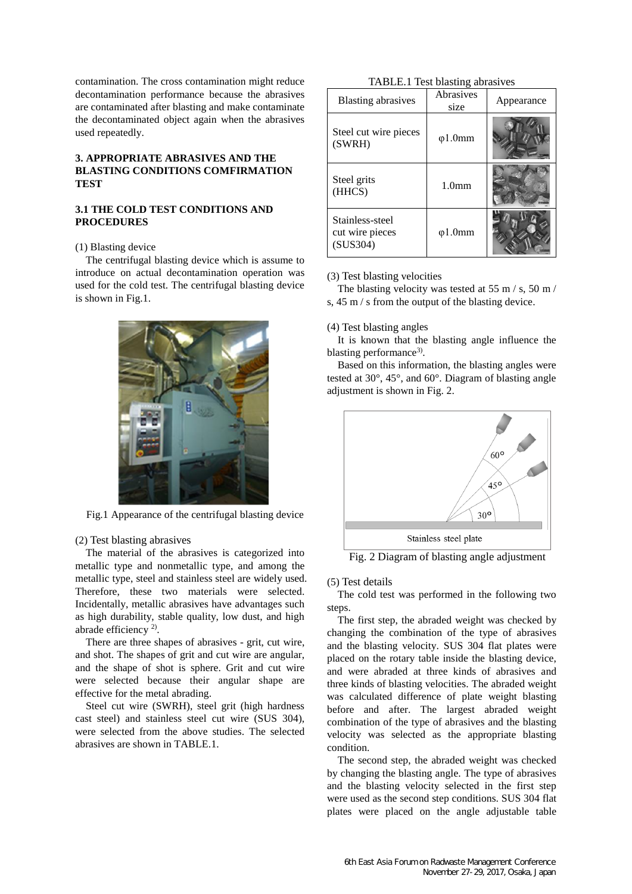contamination. The cross contamination might reduce decontamination performance because the abrasives are contaminated after blasting and make contaminate the decontaminated object again when the abrasives used repeatedly.

# **3. APPROPRIATE ABRASIVES AND THE BLASTING CONDITIONS COMFIRMATION TEST**

# **3.1 THE COLD TEST CONDITIONS AND PROCEDURES**

#### (1) Blasting device

The centrifugal blasting device which is assume to introduce on actual decontamination operation was used for the cold test. The centrifugal blasting device is shown in Fig.1.



Fig.1 Appearance of the centrifugal blasting device

### (2) Test blasting abrasives

The material of the abrasives is categorized into metallic type and nonmetallic type, and among the metallic type, steel and stainless steel are widely used. Therefore, these two materials were selected. Incidentally, metallic abrasives have advantages such as high durability, stable quality, low dust, and high abrade efficiency<sup>2)</sup>.

There are three shapes of abrasives - grit, cut wire, and shot. The shapes of grit and cut wire are angular, and the shape of shot is sphere. Grit and cut wire were selected because their angular shape are effective for the metal abrading.

Steel cut wire (SWRH), steel grit (high hardness cast steel) and stainless steel cut wire (SUS 304), were selected from the above studies. The selected abrasives are shown in TABLE.1.

# TABLE.1 Test blasting abrasives

| <b>Blasting abrasives</b>                      | Abrasives<br>size | Appearance |
|------------------------------------------------|-------------------|------------|
| Steel cut wire pieces<br>(SWRH)                | $\varphi$ 1.0mm   |            |
| Steel grits<br>(HHCS)                          | 1.0 <sub>mm</sub> |            |
| Stainless-steel<br>cut wire pieces<br>(SUS304) | $\varphi$ 1.0mm   |            |

#### (3) Test blasting velocities

The blasting velocity was tested at 55 m / s, 50 m / s, 45 m / s from the output of the blasting device.

#### (4) Test blasting angles

It is known that the blasting angle influence the blasting performance<sup>3)</sup>.

Based on this information, the blasting angles were tested at 30°, 45°, and 60°. Diagram of blasting angle adjustment is shown in Fig. 2.



Fig. 2 Diagram of blasting angle adjustment

#### (5) Test details

The cold test was performed in the following two steps.

The first step, the abraded weight was checked by changing the combination of the type of abrasives and the blasting velocity. SUS 304 flat plates were placed on the rotary table inside the blasting device, and were abraded at three kinds of abrasives and three kinds of blasting velocities. The abraded weight was calculated difference of plate weight blasting before and after. The largest abraded weight combination of the type of abrasives and the blasting velocity was selected as the appropriate blasting condition.

The second step, the abraded weight was checked by changing the blasting angle. The type of abrasives and the blasting velocity selected in the first step were used as the second step conditions. SUS 304 flat plates were placed on the angle adjustable table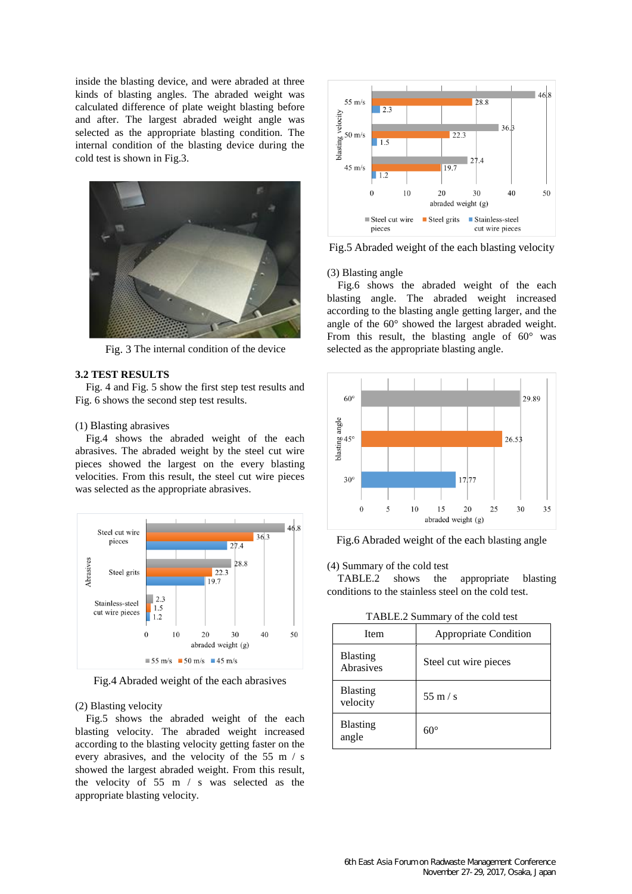inside the blasting device, and were abraded at three kinds of blasting angles. The abraded weight was calculated difference of plate weight blasting before and after. The largest abraded weight angle was selected as the appropriate blasting condition. The internal condition of the blasting device during the cold test is shown in Fig.3.



Fig. 3 The internal condition of the device

#### **3.2 TEST RESULTS**

Fig. 4 and Fig. 5 show the first step test results and Fig. 6 shows the second step test results.

#### (1) Blasting abrasives

Fig.4 shows the abraded weight of the each abrasives. The abraded weight by the steel cut wire pieces showed the largest on the every blasting velocities. From this result, the steel cut wire pieces was selected as the appropriate abrasives.



Fig.4 Abraded weight of the each abrasives

#### (2) Blasting velocity

Fig.5 shows the abraded weight of the each blasting velocity. The abraded weight increased according to the blasting velocity getting faster on the every abrasives, and the velocity of the 55 m / s showed the largest abraded weight. From this result, the velocity of 55 m / s was selected as the appropriate blasting velocity.



Fig.5 Abraded weight of the each blasting velocity

### (3) Blasting angle

Fig.6 shows the abraded weight of the each blasting angle. The abraded weight increased according to the blasting angle getting larger, and the angle of the 60° showed the largest abraded weight. From this result, the blasting angle of  $60^{\circ}$  was selected as the appropriate blasting angle.



Fig.6 Abraded weight of the each blasting angle

(4) Summary of the cold test

TABLE.2 shows the appropriate blasting conditions to the stainless steel on the cold test.

TABLE.2 Summary of the cold test

| Item                         | <b>Appropriate Condition</b> |
|------------------------------|------------------------------|
| <b>Blasting</b><br>Abrasives | Steel cut wire pieces        |
| <b>Blasting</b><br>velocity  | $55 \text{ m/s}$             |
| <b>Blasting</b><br>angle     | $60^{\circ}$                 |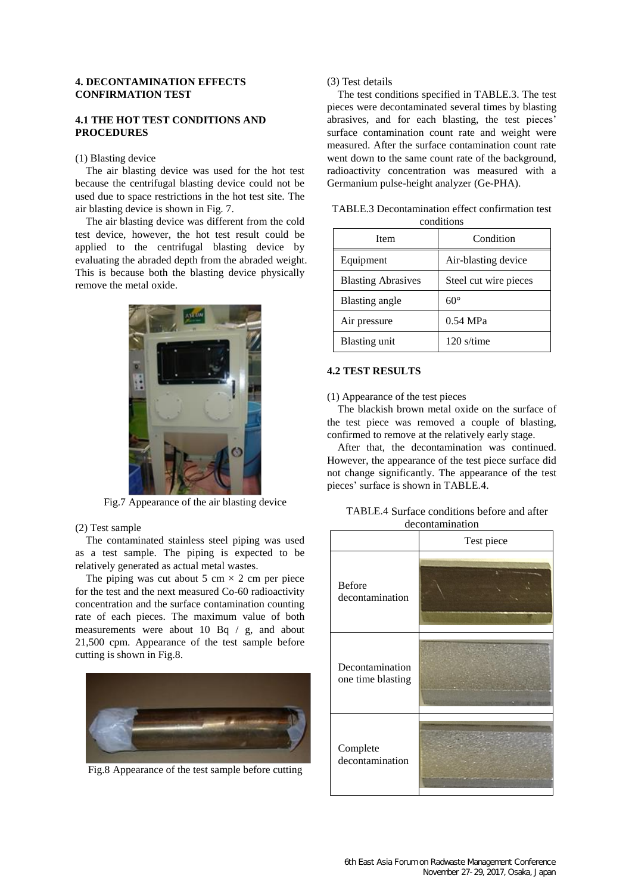## **4. DECONTAMINATION EFFECTS CONFIRMATION TEST**

# **4.1 THE HOT TEST CONDITIONS AND PROCEDURES**

### (1) Blasting device

The air blasting device was used for the hot test because the centrifugal blasting device could not be used due to space restrictions in the hot test site. The air blasting device is shown in Fig. 7.

The air blasting device was different from the cold test device, however, the hot test result could be applied to the centrifugal blasting device by evaluating the abraded depth from the abraded weight. This is because both the blasting device physically remove the metal oxide.



Fig.7 Appearance of the air blasting device

#### (2) Test sample

The contaminated stainless steel piping was used as a test sample. The piping is expected to be relatively generated as actual metal wastes.

The piping was cut about 5 cm  $\times$  2 cm per piece for the test and the next measured Co-60 radioactivity concentration and the surface contamination counting rate of each pieces. The maximum value of both measurements were about 10 Bq / g, and about 21,500 cpm. Appearance of the test sample before cutting is shown in Fig.8.



Fig.8 Appearance of the test sample before cutting

(3) Test details

The test conditions specified in TABLE.3. The test pieces were decontaminated several times by blasting abrasives, and for each blasting, the test pieces' surface contamination count rate and weight were measured. After the surface contamination count rate went down to the same count rate of the background, radioactivity concentration was measured with a Germanium pulse-height analyzer (Ge-PHA).

| TABLE.3 Decontamination effect confirmation test |
|--------------------------------------------------|
| conditions                                       |

| <b>I</b> tem              | Condition             |
|---------------------------|-----------------------|
| Equipment                 | Air-blasting device   |
| <b>Blasting Abrasives</b> | Steel cut wire pieces |
| Blasting angle            | $60^{\circ}$          |
| Air pressure              | 0.54 MPa              |
| <b>Blasting unit</b>      | $120$ s/time          |

# **4.2 TEST RESULTS**

(1) Appearance of the test pieces

The blackish brown metal oxide on the surface of the test piece was removed a couple of blasting, confirmed to remove at the relatively early stage.

After that, the decontamination was continued. However, the appearance of the test piece surface did not change significantly. The appearance of the test pieces' surface is shown in TABLE.4.

| TABLE.4 Surface conditions before and after |  |
|---------------------------------------------|--|
| decontamination                             |  |

|                                      | Test piece |  |  |
|--------------------------------------|------------|--|--|
| <b>Before</b><br>decontamination     |            |  |  |
| Decontamination<br>one time blasting |            |  |  |
| Complete<br>decontamination          |            |  |  |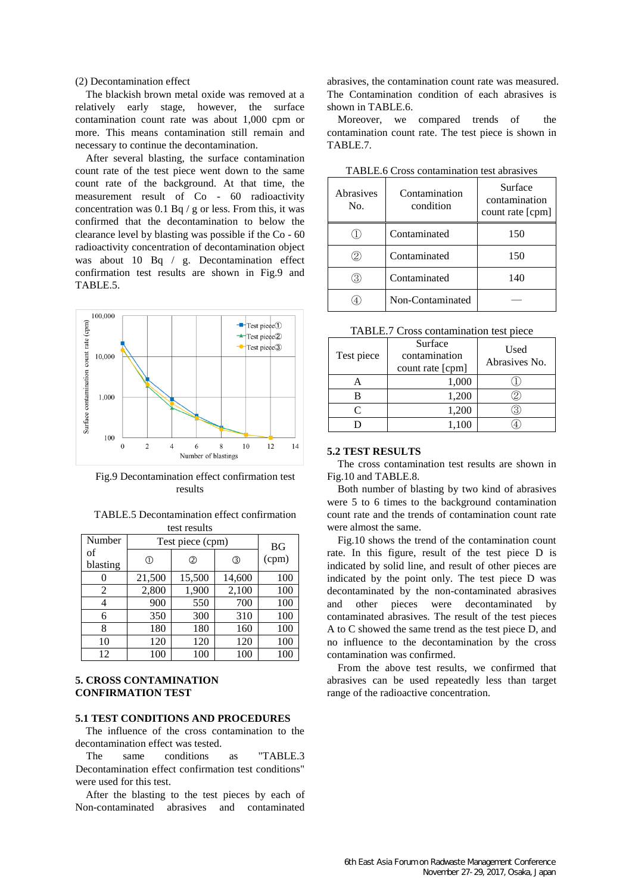(2) Decontamination effect

The blackish brown metal oxide was removed at a relatively early stage, however, the surface contamination count rate was about 1,000 cpm or more. This means contamination still remain and necessary to continue the decontamination.

After several blasting, the surface contamination count rate of the test piece went down to the same count rate of the background. At that time, the measurement result of Co - 60 radioactivity concentration was 0.1 Bq / g or less. From this, it was confirmed that the decontamination to below the clearance level by blasting was possible if the Co - 60 radioactivity concentration of decontamination object was about 10 Bq / g. Decontamination effect confirmation test results are shown in Fig.9 and TABLE.5.



Fig.9 Decontamination effect confirmation test results

| <b>TABLE.5</b> Decontamination effect confirmation |
|----------------------------------------------------|
| test results                                       |

| Number         | Test piece (cpm) | <b>BG</b> |        |       |
|----------------|------------------|-----------|--------|-------|
| of<br>blasting | ①                | ②         | ③      | (cpm) |
|                | 21,500           | 15,500    | 14,600 | 100   |
| 2              | 2,800            | 1,900     | 2,100  | 100   |
| 4              | 900              | 550       | 700    | 100   |
| 6              | 350              | 300       | 310    | 100   |
| 8              | 180              | 180       | 160    | 100   |
| 10             | 120              | 120       | 120    | 100   |
| 12             | 100              | 100       | 100    | 100   |

# **5. CROSS CONTAMINATION CONFIRMATION TEST**

### **5.1 TEST CONDITIONS AND PROCEDURES**

The influence of the cross contamination to the decontamination effect was tested.

The same conditions as "TABLE.3 Decontamination effect confirmation test conditions" were used for this test.

After the blasting to the test pieces by each of Non-contaminated abrasives and contaminated abrasives, the contamination count rate was measured. The Contamination condition of each abrasives is shown in TABLE.6.

Moreover, we compared trends of the contamination count rate. The test piece is shown in TABLE.7.

| Abrasives<br>No. | Contamination<br>condition | Surface<br>contamination<br>count rate [cpm] |  |  |
|------------------|----------------------------|----------------------------------------------|--|--|
|                  | Contaminated               | 150                                          |  |  |
|                  | Contaminated               | 150                                          |  |  |
|                  | Contaminated               | 140                                          |  |  |
|                  | Non-Contaminated           |                                              |  |  |

TABLE.6 Cross contamination test abrasives

| TABLE.7 Cross contamination test piece |  |  |
|----------------------------------------|--|--|
|----------------------------------------|--|--|

| Test piece | Surface<br>contamination<br>count rate [cpm] | Used<br>Abrasives No. |
|------------|----------------------------------------------|-----------------------|
|            | 1,000                                        |                       |
|            | 1,200                                        |                       |
| $\subset$  | 1,200                                        |                       |
|            | 1,100                                        |                       |

### **5.2 TEST RESULTS**

The cross contamination test results are shown in Fig.10 and TABLE.8.

Both number of blasting by two kind of abrasives were 5 to 6 times to the background contamination count rate and the trends of contamination count rate were almost the same.

Fig.10 shows the trend of the contamination count rate. In this figure, result of the test piece D is indicated by solid line, and result of other pieces are indicated by the point only. The test piece D was decontaminated by the non-contaminated abrasives and other pieces were decontaminated by contaminated abrasives. The result of the test pieces A to C showed the same trend as the test piece D, and no influence to the decontamination by the cross contamination was confirmed.

From the above test results, we confirmed that abrasives can be used repeatedly less than target range of the radioactive concentration.